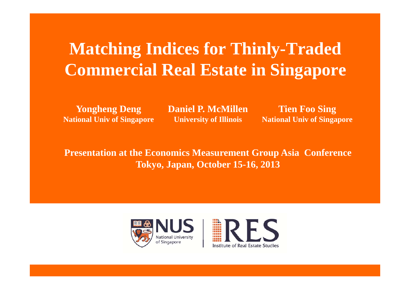# **Matching Indices for Thinly-Traded Commercial Real Estate in Singapore**

**Yongheng Deng National Univ of Singapore** **Daniel P. McMillenUniversity of Illinois** 

**Tien Foo Sing National Univ of Singapore**

**Presentation at the Economics Measurement Group Asia Conference Tokyo, Japan, October 15-16, 2013**

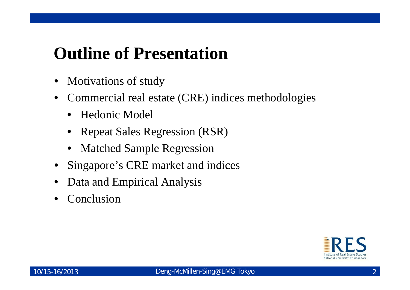# **Outline of Presentation**

- $\bullet$ Motivations of study
- • Commercial real estate (CRE) indices methodologies
	- Hedonic Model
	- $\bullet$ Repeat Sales Regression (RSR)
	- $\bullet$ Matched Sample Regression
- •Singapore's CRE market and indices
- •Data and Empirical Analysis
- •Conclusion

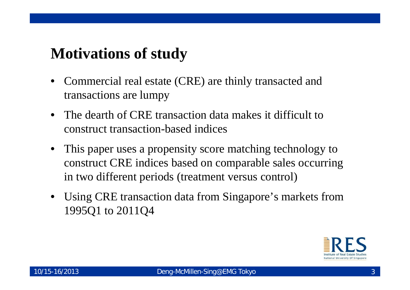#### **Motivations of study**

- $\bullet$  Commercial real estate (CRE) are thinly transacted and transactions are lumpy
- The dearth of CRE transaction data makes it difficult to construct transaction-based indices
- This paper uses a propensity score matching technology to construct CRE indices based on comparable sales occurring in two different periods (treatment versus control)
- Using CRE transaction data from Singapore's markets from 1995Q1 to 2011Q4

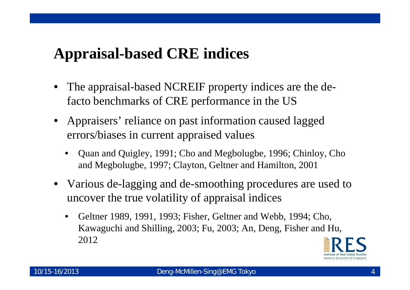## **Appraisal-based CRE indices**

- • The appraisal-based NCREIF property indices are the defacto benchmarks of CRE performance in the US
- • Appraisers' reliance on past information caused lagged errors/biases in current appraised values
	- • Quan and Quigley, 1991; Cho and Megbolugbe, 1996; Chinloy, Cho and Megbolugbe, 1997; Clayton, Geltner and Hamilton, 2001
- Various de-lagging and de-smoothing procedures are used to uncover the true volatility of appraisal indices
	- • Geltner 1989, 1991, 1993; Fisher, Geltner and Webb, 1994; Cho, Kawaguchi and Shilling, 2003; Fu, 2003; An, Deng, Fisher and Hu, 2012

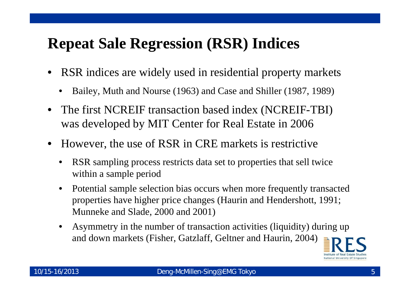## **Repeat Sale Regression (RSR) Indices**

- RSR indices are widely used in residential property markets
	- •Bailey, Muth and Nourse (1963) and Case and Shiller (1987, 1989)
- • The first NCREIF transaction based index (NCREIF-TBI) was developed by MIT Center for Real Estate in 2006
- • However, the use of RSR in CRE markets is restrictive
	- • RSR sampling process restricts data set to properties that sell twice within a sample period
	- • Potential sample selection bias occurs when more frequently transacted properties have higher price changes (Haurin and Hendershott, 1991; Munneke and Slade, 2000 and 2001)
	- • Asymmetry in the number of transaction activities (liquidity) during up and down markets (Fisher, Gatzlaff, Geltner and Haurin, 2004)

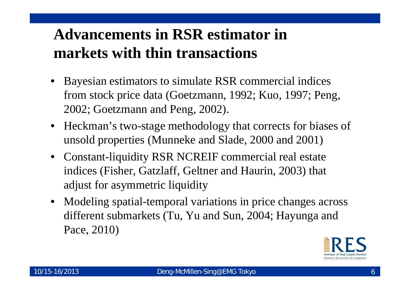# **Advancements in RSR estimator in markets with thin transactions**

- • Bayesian estimators to simulate RSR commercial indices from stock price data (Goetzmann, 1992; Kuo, 1997; Peng, 2002; Goetzmann and Peng, 2002).
- Heckman's two-stage methodology that corrects for biases of unsold properties (Munneke and Slade, 2000 and 2001)
- Constant-liquidity RSR NCREIF commercial real estate indices (Fisher, Gatzlaff, Geltner and Haurin, 2003) that adjust for asymmetric liquidity
- Modeling spatial-temporal variations in price changes across different submarkets (Tu, Yu and Sun, 2004; Hayunga and Pace, 2010)

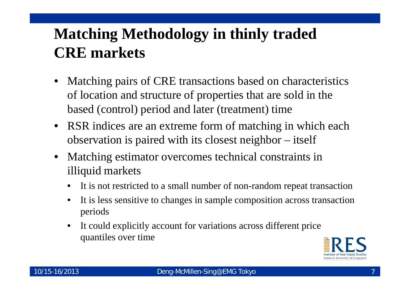# **Matching Methodology in thinly traded CRE markets**

- • Matching pairs of CRE transactions based on characteristics of location and structure of properties that are sold in the based (control) period and later (treatment) time
- RSR indices are an extreme form of matching in which each observation is paired with its closest neighbor – itself
- • Matching estimator overcomes technical constraints in illiquid markets
	- $\bullet$ It is not restricted to a small number of non-random repeat transaction
	- • It is less sensitive to changes in sample composition across transaction periods
	- • It could explicitly account for variations across different price quantiles over time

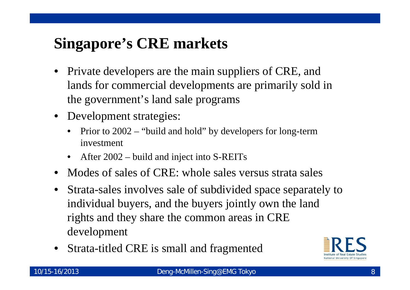# **Singapore's CRE markets**

- • Private developers are the main suppliers of CRE, and lands for commercial developments are primarily sold in the government's land sale programs
- • Development strategies:
	- $\bullet$  Prior to 2002 – "build and hold" by developers for long-term investment
	- After 2002 build and inject into S-REITs
- •• Modes of sales of CRE: whole sales versus strata sales
- • Strata-sales involves sale of subdivided space separately to individual buyers, and the buyers jointly own the land rights and they share the common areas in CRE development
- •Strata-titled CRE is small and fragmented

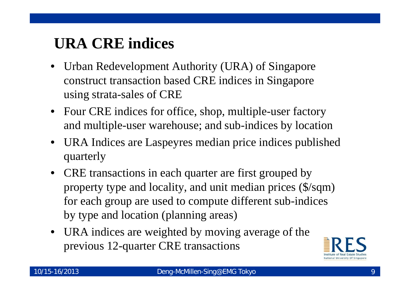# **URA CRE indices**

- Urban Redevelopment Authority (URA) of Singapore construct transaction based CRE indices in Singapore using strata-sales of CRE
- Four CRE indices for office, shop, multiple-user factory and multiple-user warehouse; and sub-indices by location
- URA Indices are Laspeyres median price indices published quarterly
- CRE transactions in each quarter are first grouped by property type and locality, and unit median prices (\$/sqm) for each group are used to compute different sub-indices by type and location (planning areas)
- URA indices are weighted by moving average of the previous 12-quarter CRE transactions

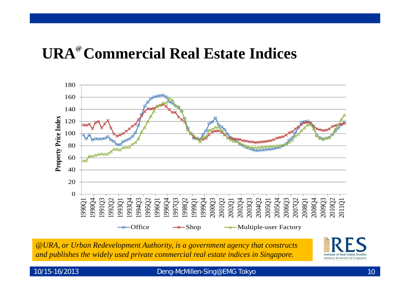## **URA@ Commercial Real Estate Indices**



*@URA, or Urban Redevelopment Authority, is a government agency that constructs and publishes the widely used private commercial real estate indices in Singapore.* 



#### 10/15-16/2013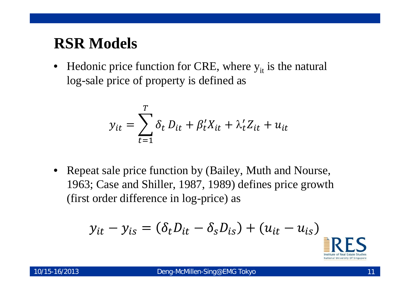#### **RSR Models**

 $\bullet$ • Hedonic price function for CRE, where  $y_{it}$  is the natural log-sale price of property is defined as

$$
y_{it} = \sum_{t=1}^{T} \delta_t D_{it} + \beta_t' X_{it} + \lambda_t' Z_{it} + u_{it}
$$

• Repeat sale price function by (Bailey, Muth and Nourse, 1963; Case and Shiller, 1987, 1989) defines price growth (first order difference in log-price) as

$$
y_{it} - y_{is} = (\delta_t D_{it} - \delta_s D_{is}) + (u_{it} - u_{is})
$$

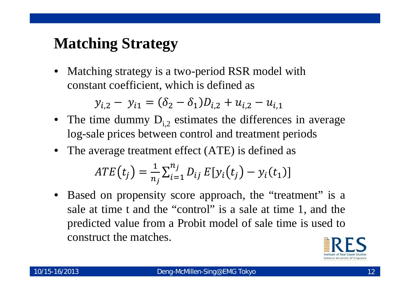## **Matching Strategy**

• Matching strategy is a two-period RSR model with constant coefficient, which is defined as

 $y_{i,2} - y_{i,1} = (\delta_2 - \delta_1)D_{i,2} + u_{i,2} - u_{i,1}$ 

- The time dummy  $D_{i,2}$  estimates the differences in average log-sale prices between control and treatment periods
- The average treatment effect (ATE) is defined as

$$
ATE(t_j) = \frac{1}{n_j} \sum_{i=1}^{n_j} D_{ij} E[y_i(t_j) - y_i(t_1)]
$$

• Based on propensity score approach, the "treatment" is <sup>a</sup> sale at time t and the "control" is <sup>a</sup> sale at time 1, and the predicted value from <sup>a</sup> Probit model of sale time is used to construct the matches.

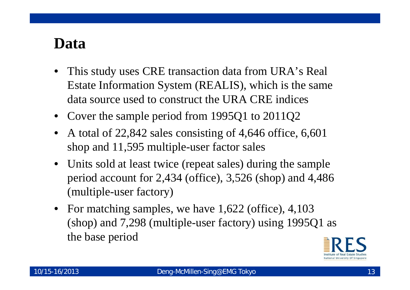#### **Data**

- • This study uses CRE transaction data from URA's Real Estate Information System (REALIS), which is the same data source used to construct the URA CRE indices
- •Cover the sample period from 1995Q1 to 2011Q2
- • A total of 22,842 sales consisting of 4,646 office, 6,601 shop and 11,595 multiple-user factor sales
- $\bullet$  Units sold at least twice (repeat sales) during the sample period account for 2,434 (office), 3,526 (shop) and 4,486 (multiple-user factory)
- For matching samples, we have 1,622 (office), 4,103 (shop) and 7,298 (multiple-user factory) using 1995Q1 as the base period

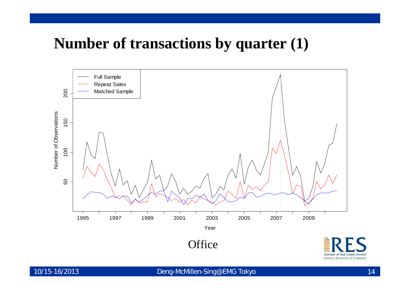#### **Number of transactions by quarter (1)**



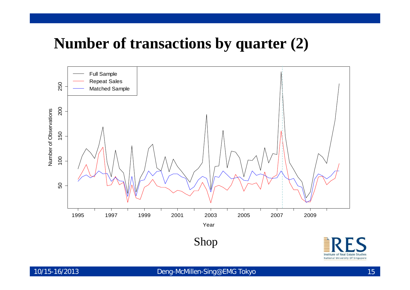#### **Number of transactions by quarter (2)**

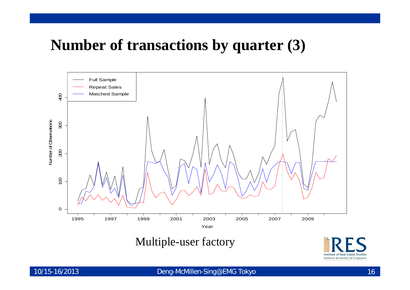#### **Number of transactions by quarter (3)**



Multiple-user factory

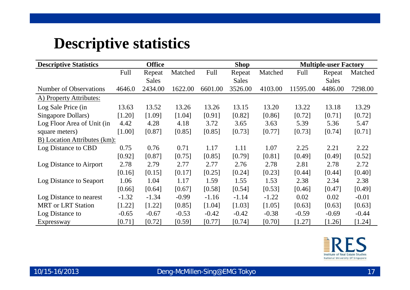#### **Descriptive statistics**

| <b>Descriptive Statistics</b> | <b>Office</b> |              |         |         | <b>Shop</b>  |         | <b>Multiple-user Factory</b> |              |          |
|-------------------------------|---------------|--------------|---------|---------|--------------|---------|------------------------------|--------------|----------|
|                               | Full          | Repeat       | Matched | Full    | Repeat       | Matched | Full                         | Repeat       | Matched  |
|                               |               | <b>Sales</b> |         |         | <b>Sales</b> |         |                              | <b>Sales</b> |          |
| Number of Observations        | 4646.0        | 2434.00      | 1622.00 | 6601.00 | 3526.00      | 4103.00 | 11595.00                     | 4486.00      | 7298.00  |
| A) Property Attributes:       |               |              |         |         |              |         |                              |              |          |
| Log Sale Price (in            | 13.63         | 13.52        | 13.26   | 13.26   | 13.15        | 13.20   | 13.22                        | 13.18        | 13.29    |
| Singapore Dollars)            | [1.20]        | [1.09]       | [1.04]  | [0.91]  | [0.82]       | [0.86]  | [0.72]                       | [0.71]       | $[0.72]$ |
| Log Floor Area of Unit (in    | 4.42          | 4.28         | 4.18    | 3.72    | 3.65         | 3.63    | 5.39                         | 5.36         | 5.47     |
| square meters)                | [1.00]        | [0.87]       | [0.85]  | [0.85]  | [0.73]       | [0.77]  | [0.73]                       | [0.74]       | [0.71]   |
| B) Location Attributes (km):  |               |              |         |         |              |         |                              |              |          |
| Log Distance to CBD           | 0.75          | 0.76         | 0.71    | 1.17    | 1.11         | 1.07    | 2.25                         | 2.21         | 2.22     |
|                               | [0.92]        | [0.87]       | [0.75]  | [0.85]  | [0.79]       | [0.81]  | [0.49]                       | [0.49]       | [0.52]   |
| Log Distance to Airport       | 2.78          | 2.79         | 2.77    | 2.77    | 2.76         | 2.78    | 2.81                         | 2.78         | 2.72     |
|                               | [0.16]        | [0.15]       | [0.17]  | [0.25]  | [0.24]       | [0.23]  | [0.44]                       | [0.44]       | [0.40]   |
| Log Distance to Seaport       | 1.06          | 1.04         | 1.17    | 1.59    | 1.55         | 1.53    | 2.38                         | 2.34         | 2.38     |
|                               | [0.66]        | [0.64]       | [0.67]  | [0.58]  | [0.54]       | [0.53]  | [0.46]                       | [0.47]       | [0.49]   |
| Log Distance to nearest       | $-1.32$       | $-1.34$      | $-0.99$ | $-1.16$ | $-1.14$      | $-1.22$ | 0.02                         | 0.02         | $-0.01$  |
| <b>MRT</b> or LRT Station     | [1.22]        | [1.22]       | [0.85]  | [1.04]  | [1.03]       | [1.05]  | [0.63]                       | [0.63]       | [0.63]   |
| Log Distance to               | $-0.65$       | $-0.67$      | $-0.53$ | $-0.42$ | $-0.42$      | $-0.38$ | $-0.59$                      | $-0.69$      | $-0.44$  |
| Expressway                    | [0.71]        | [0.72]       | [0.59]  | [0.77]  | [0.74]       | [0.70]  | $[1.27]$                     | $[1.26]$     | [1.24]   |

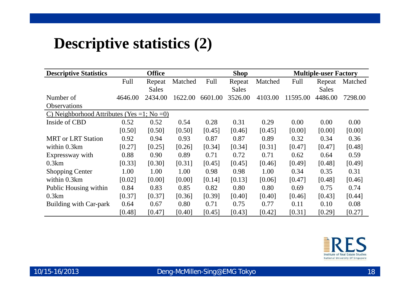#### **Descriptive statistics (2)**

| <b>Descriptive Statistics</b>              |         | <b>Office</b> |         |         | <b>Shop</b>  |         | <b>Multiple-user Factory</b> |              |         |  |
|--------------------------------------------|---------|---------------|---------|---------|--------------|---------|------------------------------|--------------|---------|--|
|                                            | Full    | Repeat        | Matched | Full    | Repeat       | Matched | Full                         | Repeat       | Matched |  |
|                                            |         | Sales         |         |         | <b>Sales</b> |         |                              | <b>Sales</b> |         |  |
| Number of                                  | 4646.00 | 2434.00       | 1622.00 | 6601.00 | 3526.00      | 4103.00 | 11595.00                     | 4486.00      | 7298.00 |  |
| <b>Observations</b>                        |         |               |         |         |              |         |                              |              |         |  |
| C) Neighborhood Attributes (Yes =1; No =0) |         |               |         |         |              |         |                              |              |         |  |
| Inside of CBD                              | 0.52    | 0.52          | 0.54    | 0.28    | 0.31         | 0.29    | 0.00                         | 0.00         | 0.00    |  |
|                                            | [0.50]  | [0.50]        | [0.50]  | [0.45]  | [0.46]       | [0.45]  | [0.00]                       | [0.00]       | [0.00]  |  |
| <b>MRT</b> or LRT Station                  | 0.92    | 0.94          | 0.93    | 0.87    | 0.87         | 0.89    | 0.32                         | 0.34         | 0.36    |  |
| within 0.3km                               | [0.27]  | [0.25]        | [0.26]  | [0.34]  | [0.34]       | [0.31]  | [0.47]                       | [0.47]       | [0.48]  |  |
| Expressway with                            | 0.88    | 0.90          | 0.89    | 0.71    | 0.72         | 0.71    | 0.62                         | 0.64         | 0.59    |  |
| 0.3km                                      | [0.33]  | [0.30]        | [0.31]  | [0.45]  | [0.45]       | [0.46]  | [0.49]                       | [0.48]       | [0.49]  |  |
| <b>Shopping Center</b>                     | 1.00    | 1.00          | 1.00    | 0.98    | 0.98         | 1.00    | 0.34                         | 0.35         | 0.31    |  |
| within 0.3km                               | [0.02]  | [0.00]        | [0.00]  | [0.14]  | [0.13]       | [0.06]  | [0.47]                       | [0.48]       | [0.46]  |  |
| Public Housing within                      | 0.84    | 0.83          | 0.85    | 0.82    | 0.80         | 0.80    | 0.69                         | 0.75         | 0.74    |  |
| 0.3km                                      | [0.37]  | [0.37]        | [0.36]  | [0.39]  | [0.40]       | [0.40]  | [0.46]                       | [0.43]       | [0.44]  |  |
| Building with Car-park                     | 0.64    | 0.67          | 0.80    | 0.71    | 0.75         | 0.77    | 0.11                         | 0.10         | 0.08    |  |
|                                            | [0.48]  | [0.47]        | [0.40]  | [0.45]  | [0.43]       | [0.42]  | [0.31]                       | [0.29]       | [0.27]  |  |

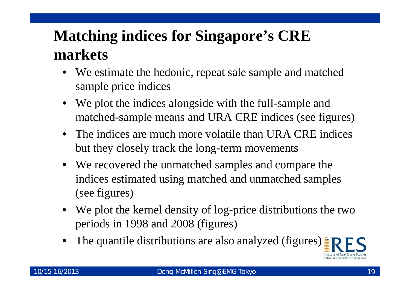# **Matching indices for Singapore's CRE markets**

- • We estimate the hedonic, repeat sale sample and matched sample price indices
- We plot the indices alongside with the full-sample and matched-sample means and URA CRE indices (see figures)
- The indices are much more volatile than URA CRE indices but they closely track the long-term movements
- We recovered the unmatched samples and compare the indices estimated using matched and unmatched samples (see figures)
- We plot the kernel density of log-price distributions the two periods in 1998 and 2008 (figures)
- •The quantile distributions are also analyzed (figures)

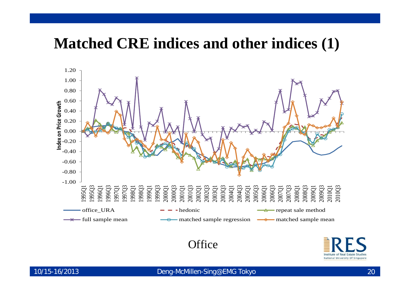#### **Matched CRE indices and other indices (1)**



#### **Office**

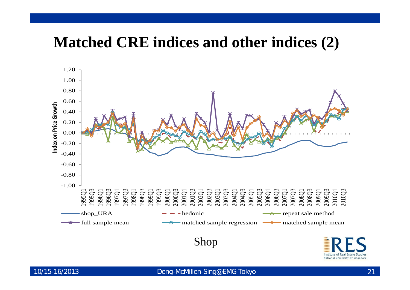#### **Matched CRE indices and other indices (2)**



Institute of Real Estate Studie National University Of Singapore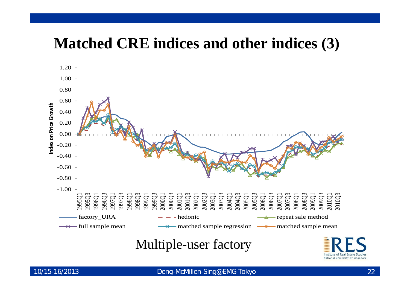#### **Matched CRE indices and other indices (3)**



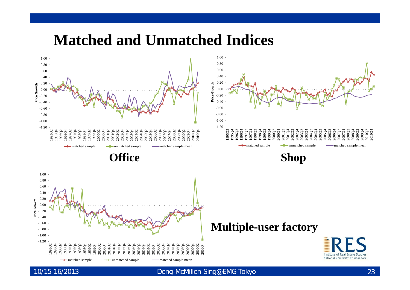#### **Matched and Unmatched Indices**



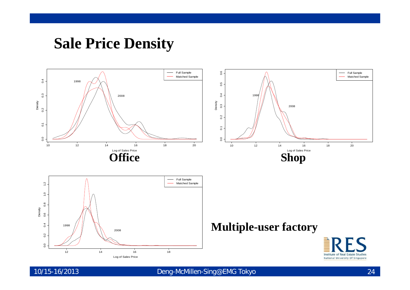#### **Sale Price Density**





#### **Multiple-user factory**

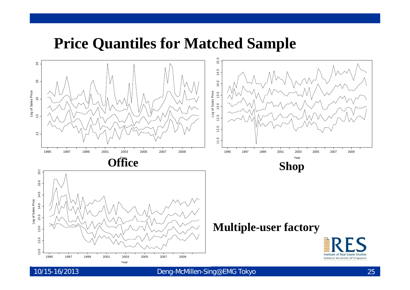#### **Price Quantiles for Matched Sample**

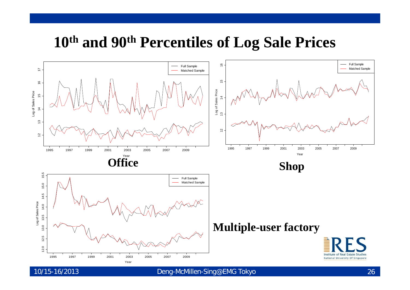#### **10th and 90th Percentiles of Log Sale Prices**



10/15-16/2013 Deng-McMillen-Sin g@EMG Tokyo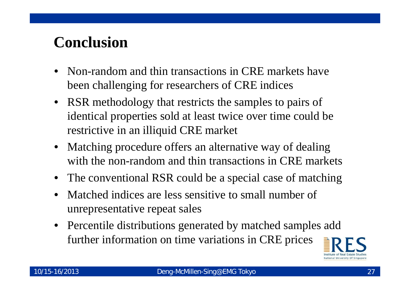# **Conclusion**

- • Non-random and thin transactions in CRE markets have been challenging for researchers of CRE indices
- RSR methodology that restricts the samples to pairs of identical properties sold at least twice over time could be restrictive in an illiquid CRE market
- • Matching procedure offers an alternative way of dealing with the non-random and thin transactions in CRE markets
- •The conventional RSR could be a special case of matching
- • Matched indices are less sensitive to small number of unrepresentative repeat sales
- Percentile distributions generated by matched samples add further information on time variations in CRE prices